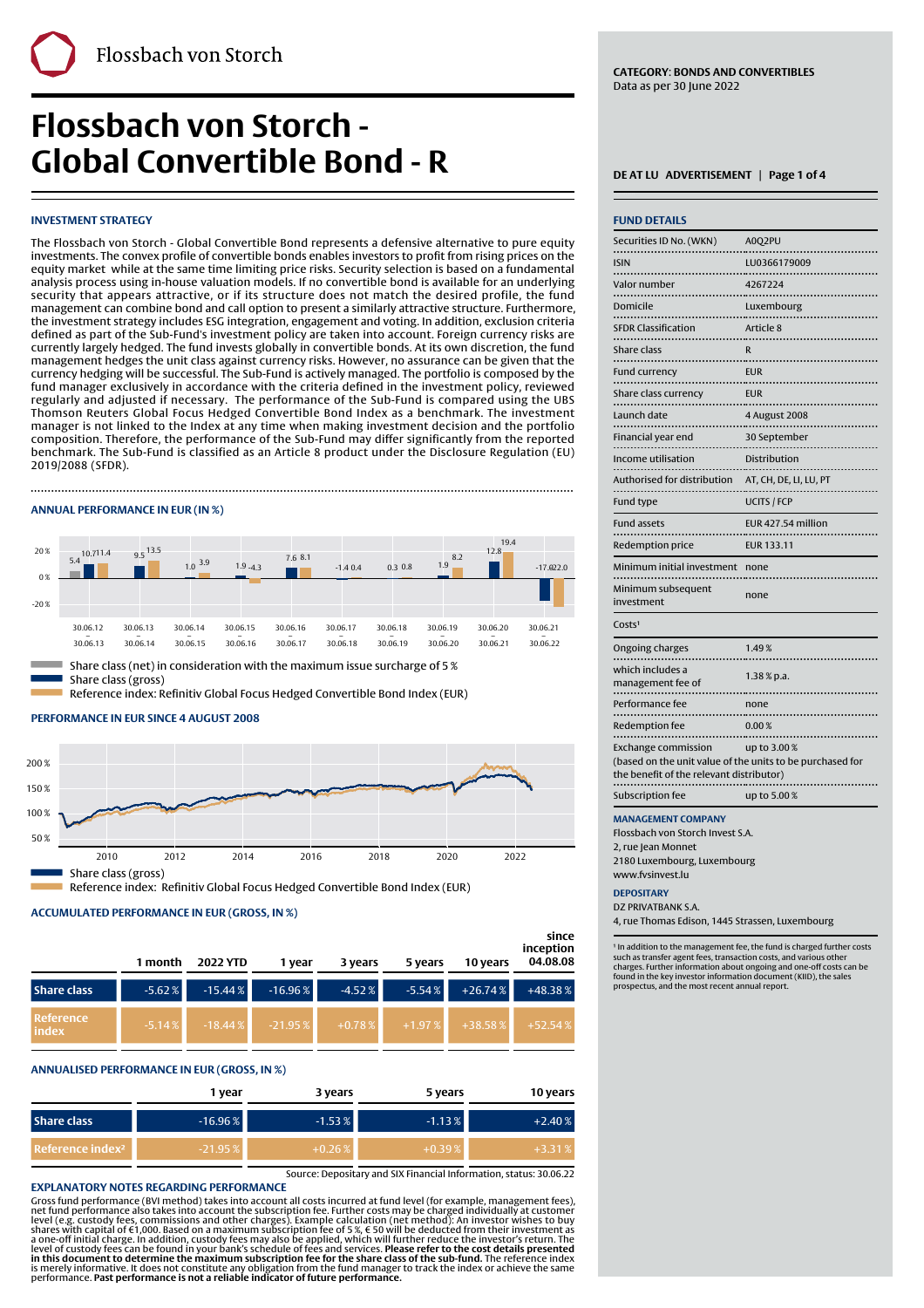# **Flossbach von Storch - Global Convertible Bond - R** DEATLU ADVERTISEMENT | Page 1 of 4

#### **INVESTMENT STRATEGY**

The Flossbach von Storch - Global Convertible Bond represents a defensive alternative to pure equity investments. The convex profile of convertible bonds enables investors to profit from rising prices on the equity market while at the same time limiting price risks. Security selection is based on a fundamental analysis process using in-house valuation models. If no convertible bond is available for an underlying security that appears attractive, or if its structure does not match the desired profile, the fund management can combine bond and call option to present a similarly attractive structure. Furthermore, the investment strategy includes ESG integration, engagement and voting. In addition, exclusion criteria defined as part of the Sub-Fund's investment policy are taken into account. Foreign currency risks are currently largely hedged. The fund invests globally in convertible bonds. At its own discretion, the fund management hedges the unit class against currency risks. However, no assurance can be given that the currency hedging will be successful. The Sub-Fund is actively managed. The portfolio is composed by the fund manager exclusively in accordance with the criteria defined in the investment policy, reviewed regularly and adjusted if necessary. The performance of the Sub-Fund is compared using the UBS Thomson Reuters Global Focus Hedged Convertible Bond Index as a benchmark. The investment manager is not linked to the Index at any time when making investment decision and the portfolio composition. Therefore, the performance of the Sub-Fund may differ significantly from the reported benchmark. The Sub-Fund is classified as an Article 8 product under the Disclosure Regulation (EU) 2019/2088 (SFDR).

Finally, the contract of the contract of the contract of the contract of the contract of the contract of the c

#### **ANNUAL PERFORMANCE IN EUR (IN %)**



#### **PERFORMANCE IN EUR SINCE 4 AUGUST 2008**



Reference index: Refinitiv Global Focus Hedged Convertible Bond Index (EUR)

## **ACCUMULATED PERFORMANCE IN EUR (GROSS, IN %)**

|                            | 1 month  | <b>2022 YTD</b> | 1 year    | 3 years  | 5 years  | 10 years  | since<br>inception<br>04.08.08 |
|----------------------------|----------|-----------------|-----------|----------|----------|-----------|--------------------------------|
| <b>Share class</b>         | $-5.62%$ | $-15.44%$       | $-16.96%$ | $-4.52%$ | $-5.54%$ | $+26.74%$ | $+48.38%$                      |
| <b>Reference</b><br>lindex | $-5.14%$ | $-18.44%$       | $-21.95%$ | $+0.78%$ | $+1.97%$ | $+38.58%$ | $+52.54%$                      |

### **ANNUALISED PERFORMANCE IN EUR (GROSS, IN %)**

|                              | 1 year     | 3 years   | 5 years   | 10 years  |
|------------------------------|------------|-----------|-----------|-----------|
| <b>Share class</b>           | $-16.96\%$ | $-1.53%$  | $-1.13%$  | $+2.40%$  |
| Reference index <sup>2</sup> | $-21.95%$  | $+0.26\%$ | $+0.39\%$ | $+3.31\%$ |

Source: Depositary and SIX Financial Information, status: 30.06.22<br>EXPLANATORY NOTES REGARDING PERFORMANCE

**EXPLANATORY NOTES REGARDING PERFORMANCE**<br>
Gross fund performance (BVI method) takes into account all costs incurred at fund level (for example, management fees)<br>
net fund performance also takes into account the subscript

**CATEGORY**: **BONDS AND CONVERTIBLES** Data as per 30 June 2022

| <b>FUND DETAILS</b>                                                                                                                 |                        |
|-------------------------------------------------------------------------------------------------------------------------------------|------------------------|
| Securities ID No. (WKN)                                                                                                             | A0Q2PU                 |
| <b>ISIN</b>                                                                                                                         | LU0366179009           |
| <br>Valor number                                                                                                                    | 4267224                |
| .<br>Domicile                                                                                                                       |                        |
| .                                                                                                                                   | Luxembourg             |
| <b>SFDR Classification</b>                                                                                                          | Article 8              |
| Share class<br>.                                                                                                                    | R                      |
| <b>Fund currency</b><br>.                                                                                                           | <b>EUR</b>             |
| Share class currency                                                                                                                | <b>EUR</b>             |
| Launch date                                                                                                                         | 4 August 2008          |
| Financial year end<br>.                                                                                                             | 30 September           |
| Income utilisation<br>.                                                                                                             | Distribution           |
| Authorised for distribution                                                                                                         | AT, CH, DE, LI, LU, PT |
| Fund type                                                                                                                           | <b>UCITS / FCP</b>     |
| <b>Fund assets</b>                                                                                                                  | EUR 427.54 million     |
| Redemption price                                                                                                                    | <b>EUR 133.11</b>      |
| Minimum initial investment                                                                                                          | none                   |
| Minimum subsequent<br>investment                                                                                                    | none                   |
| Costs <sup>1</sup>                                                                                                                  |                        |
| Ongoing charges                                                                                                                     | 1.49%                  |
| which includes a<br>management fee of                                                                                               | $1.38\%$ p.a.          |
| Performance fee                                                                                                                     | none                   |
| <b>Redemption fee</b>                                                                                                               | 0.00%                  |
| <b>Exchange commission</b><br>(based on the unit value of the units to be purchased for<br>the benefit of the relevant distributor) | up to 3.00%            |
| Subscription fee                                                                                                                    | up to 5.00%            |
| <b>MANAGEMENT COMPANY</b>                                                                                                           |                        |

Flossbach von Storch Invest S.A. 2, rue Jean Monnet

2180 Luxembourg, Luxembourg www.fvsinvest.lu

### **DEPOSITARY**

DZ PRIVATRANK S.A.

4, rue Thomas Edison, 1445 Strassen, Luxembourg

<sup>1</sup> In addition to the management fee, the fund is charged further costs such as transfer agent fees, transaction costs, and various other charges. Further information about ongoing and one-off costs can be found in the key investor information document (KIID), the sales prospectus, and the most recent annual report.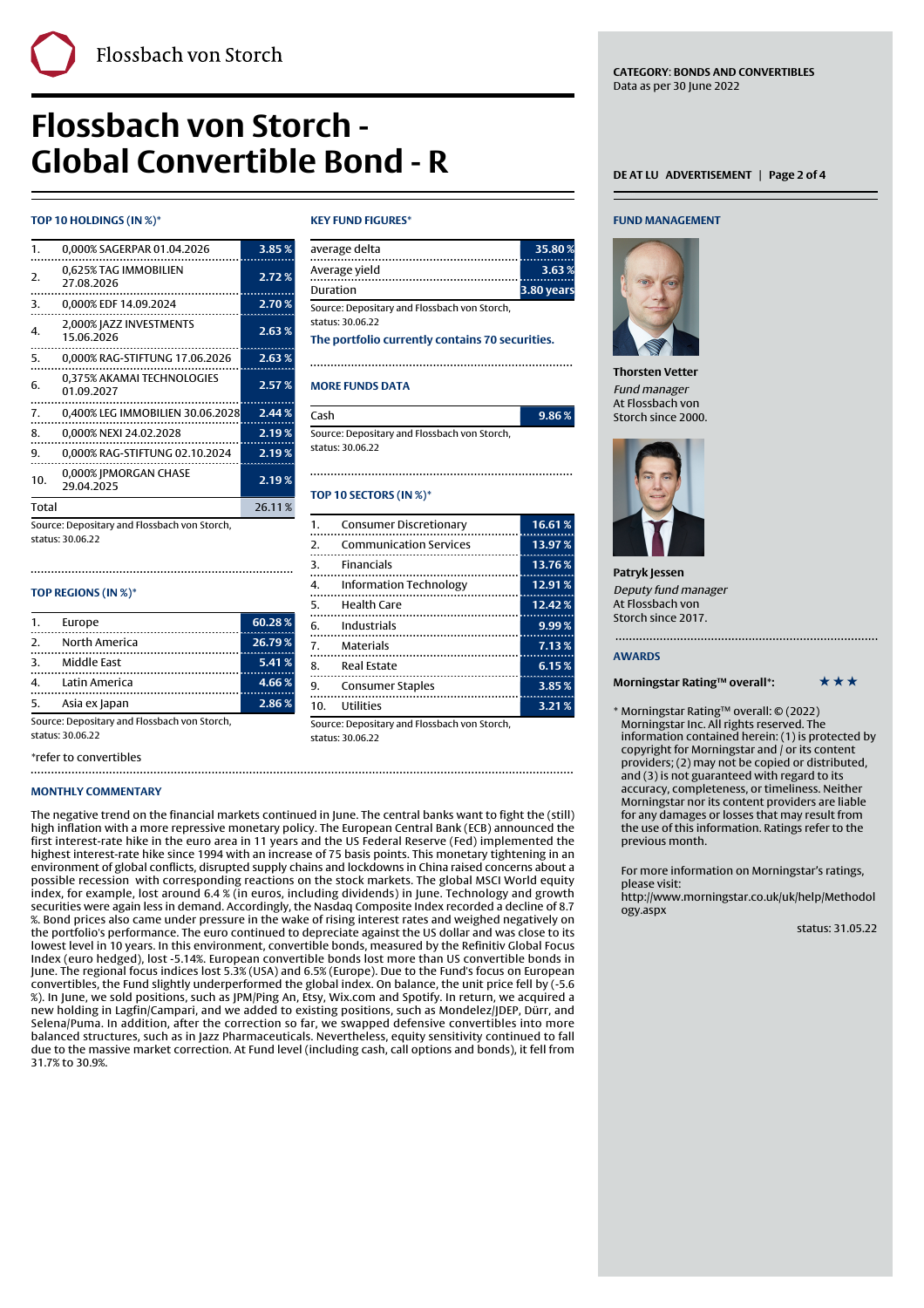# **Flossbach von Storch - Global Convertible Bond - R** DEATLU ADVERTISEMENT | Page 2 of 4

### **TOP 10 HOLDINGS (IN %)\***

| 1.           | 0,000% SAGERPAR 01.04.2026               | 3.85%             |
|--------------|------------------------------------------|-------------------|
| 2.           | 0,625% TAG IMMOBILIEN<br>27.08.2026      | 2.72%             |
| 3.           | 0,000% EDF 14.09.2024                    | 2.70%             |
| 4.           | 2,000% JAZZ INVESTMENTS<br>15.06.2026    | 2.63%             |
| 5.           | 0.000% RAG-STIFTUNG 17.06.2026           | 2.63%             |
| 6.           | 0,375% AKAMAI TECHNOLOGIES<br>01.09.2027 | 2.57%             |
| 7.           | 0,400% LEG IMMOBILIEN 30.06.2028         | 2.44%             |
| 8.           | 0.000% NEXI 24.02.2028                   | 2.19%             |
| 9.           | 0,000% RAG-STIFTUNG 02.10.2024           | 2.19%             |
| 10.          | 0,000% JPMORGAN CHASE<br>29.04.2025      | 2.19 <sub>%</sub> |
| <b>Total</b> |                                          | 26.11%            |

Source: Depositary and Flossbach von Storch, status: 30.06.22

#### **TOP REGIONS (IN %)\***

|             | 1. Europe        | 60.28% |
|-------------|------------------|--------|
| $2^{\circ}$ | North America    | 26.79% |
|             | 3. Middle East   | 5.41%  |
|             | 4. Latin America | 4.66%  |
| 5.          | Asia ex Japan    | 2.86%  |

Source: Depositary and Flossbach von Storch, status: 30.06.22

\*refer to convertibles 

#### **MONTHLY COMMENTARY**

#### The negative trend on the financial markets continued in June. The central banks want to fight the (still) high inflation with a more repressive monetary policy. The European Central Bank (ECB) announced the first interest-rate hike in the euro area in 11 years and the US Federal Reserve (Fed) implemented the highest interest-rate hike since 1994 with an increase of 75 basis points. This monetary tightening in an environment of global conflicts, disrupted supply chains and lockdowns in China raised concerns about a possible recession with corresponding reactions on the stock markets. The global MSCI World equity index, for example, lost around 6.4 % (in euros, including dividends) in June. Technology and growth securities were again less in demand. Accordingly, the Nasdaq Composite Index recorded a decline of 8.7 %. Bond prices also came under pressure in the wake of rising interest rates and weighed negatively on the portfolio's performance. The euro continued to depreciate against the US dollar and was close to its lowest level in 10 years. In this environment, convertible bonds, measured by the Refinitiv Global Focus Index (euro hedged), lost -5.14%. European convertible bonds lost more than US convertible bonds in June. The regional focus indices lost 5.3% (USA) and 6.5% (Europe). Due to the Fund's focus on European convertibles, the Fund slightly underperformed the global index. On balance, the unit price fell by (-5.6 %). In June, we sold positions, such as JPM/Ping An, Etsy, Wix.com and Spotify. In return, we acquired a new holding in Lagfin/Campari, and we added to existing positions, such as Mondelez/JDEP, Dürr, and Selena/Puma. In addition, after the correction so far, we swapped defensive convertibles into more balanced structures, such as in Jazz Pharmaceuticals. Nevertheless, equity sensitivity continued to fall due to the massive market correction. At Fund level (including cash, call options and bonds), it fell from 31.7% to 30.9%.

#### **KEY FUND FIGURES\***

Finally, the contract of the contract of the contract of the contract of the contract of the contract of the c

| average delta                                | 35.80%     |
|----------------------------------------------|------------|
| Average vield                                | 3.63%      |
| Duration                                     | 3.80 years |
| Source: Depositary and Flossbach von Storch, |            |
| status: 30.06.22                             |            |

**The portfolio currently contains 70 securities.**

### **MORE FUNDS DATA**

| Cash                                         |  |
|----------------------------------------------|--|
| Source: Depositary and Flossbach von Storch, |  |

status: 30.06.22

## 

#### **TOP 10 SECTORS (IN %)\***

| $\mathbf{1}$ . | Consumer Discretionary        | 16.61% |
|----------------|-------------------------------|--------|
| 2.             | <b>Communication Services</b> | 13.97% |
| 3.             | <b>Financials</b>             | 13.76% |
| 4.             | Information Technology        | 12.91% |
| 5.             | Health Care<br>               | 12.42% |
|                | 6. Industrials                | 9.99%  |
| 7.             | Materials                     | 7.13%  |
| 8.             | <b>Real Estate</b>            | 6.15%  |
| 9.             | <b>Consumer Staples</b>       | 3.85%  |
| 10.            | Utilities                     | 3.21%  |

Source: Depositary and Flossbach von Storch, status: 30.06.22

#### **FUND MANAGEMENT**



**Thorsten Vetter** Fund manager At Flossbach von Storch since 2000.

Cash **9.86 %**



**Patryk Jessen** Deputy fund manager At Flossbach von Storch since 2017.

#### **AWARDS**

#### **Morningstar Rating™ overall\*:** \*\*\*\*\*\*

\* Morningstar Rating™ overall: © (2022) Morningstar Inc. All rights reserved. The information contained herein: (1) is protected by copyright for Morningstar and / or its content providers; (2) may not be copied or distributed, and (3) is not guaranteed with regard to its accuracy, completeness, or timeliness. Neither Morningstar nor its content providers are liable for any damages or losses that may result from the use of this information. Ratings refer to the previous month.

For more information on Morningstar's ratings, please visit:

[http://www.morningstar.co.uk/uk/help/Methodol](http://www.morningstar.co.uk/uk/help/Methodology.aspx) [ogy.aspx](http://www.morningstar.co.uk/uk/help/Methodology.aspx)

status: 31.05.22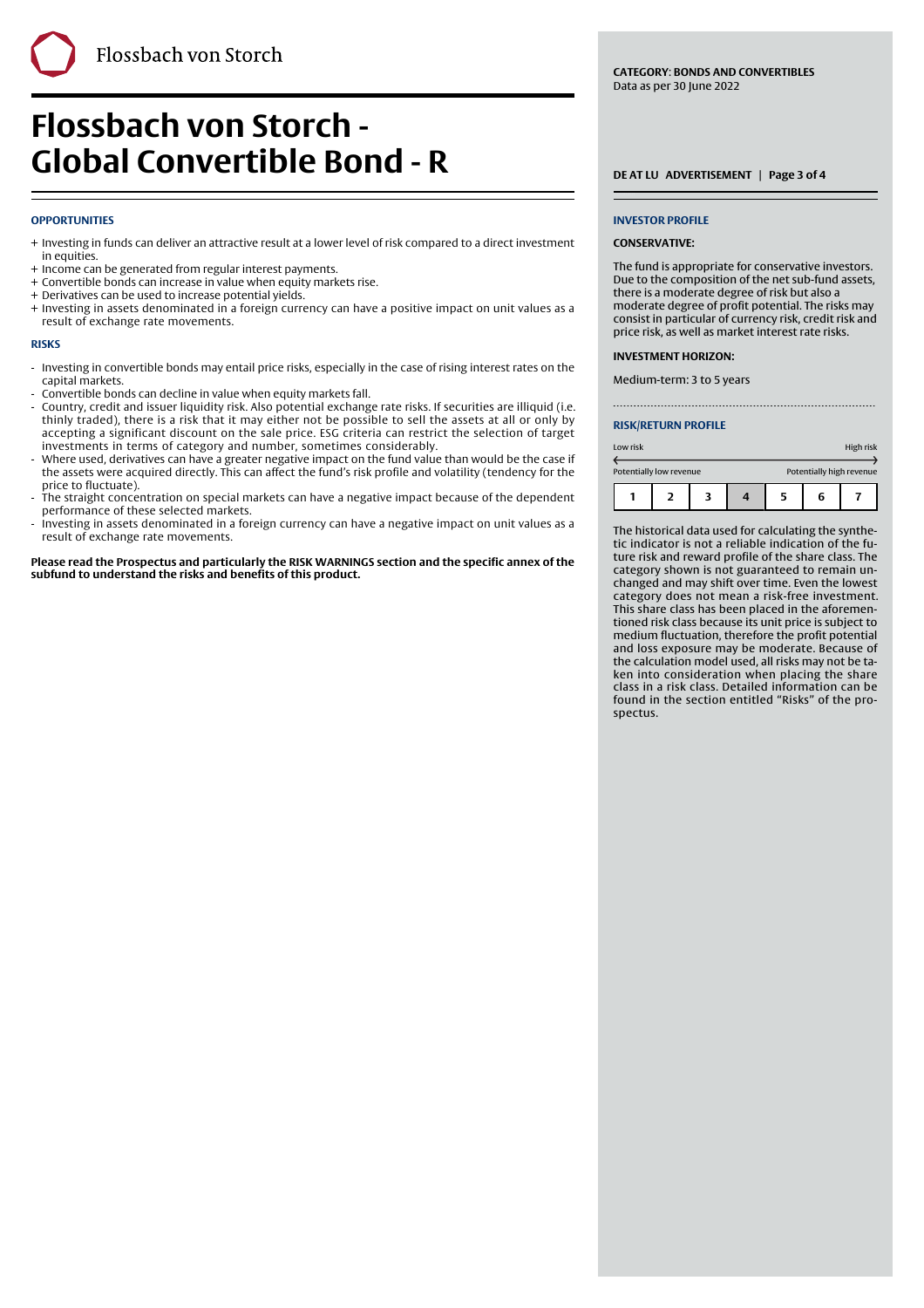#### **OPPORTUNITIES**

+ Investing in funds can deliver an attractive result at a lower level of risk compared to a direct investment in equities.

Finally, the contract of the contract of the contract of the contract of the contract of the contract of the c

- + Income can be generated from regular interest payments.
- + Convertible bonds can increase in value when equity markets rise.
- + Derivatives can be used to increase potential yields.
- + Investing in assets denominated in a foreign currency can have a positive impact on unit values as a result of exchange rate movements.

#### **RISKS**

- Investing in convertible bonds may entail price risks, especially in the case of rising interest rates on the capital markets. -
- Convertible bonds can decline in value when equity markets fall.
- Country, credit and issuer liquidity risk. Also potential exchange rate risks. If securities are illiquid (i.e. thinly traded), there is a risk that it may either not be possible to sell the assets at all or only by accepting a significant discount on the sale price. ESG criteria can restrict the selection of target investments in terms of category and number, sometimes considerably. -
- Where used, derivatives can have a greater negative impact on the fund value than would be the case if the assets were acquired directly. This can affect the fund's risk profile and volatility (tendency for the price to fluctuate). -
- The straight concentration on special markets can have a negative impact because of the dependent performance of these selected markets. -
- Investing in assets denominated in a foreign currency can have a negative impact on unit values as a result of exchange rate movements. -

**Please read the Prospectus and particularly the RISK WARNINGS section and the specific annex of the subfund to understand the risks and benefits of this product.**

#### **INVESTOR PROFILE**

#### **CONSERVATIVE:**

The fund is appropriate for conservative investors. Due to the composition of the net sub-fund assets, there is a moderate degree of risk but also a moderate degree of profit potential. The risks may consist in particular of currency risk, credit risk and price risk, as well as market interest rate risks.

#### **INVESTMENT HORIZON:**

Medium-term: 3 to 5 years

#### **RISK/RETURN PROFILE**

| Low risk |                         |  |  |                          |   | High risk |
|----------|-------------------------|--|--|--------------------------|---|-----------|
|          | Potentially low revenue |  |  | Potentially high revenue |   |           |
|          |                         |  |  | 5                        | 6 |           |

The historical data used for calculating the synthetic indicator is not a reliable indication of the future risk and reward profile of the share class. The category shown is not guaranteed to remain unchanged and may shift over time. Even the lowest category does not mean a risk-free investment. This share class has been placed in the aforementioned risk class because its unit price is subject to medium fluctuation, therefore the profit potential and loss exposure may be moderate. Because of the calculation model used, all risks may not be taken into consideration when placing the share class in a risk class. Detailed information can be found in the section entitled "Risks" of the prospectus.